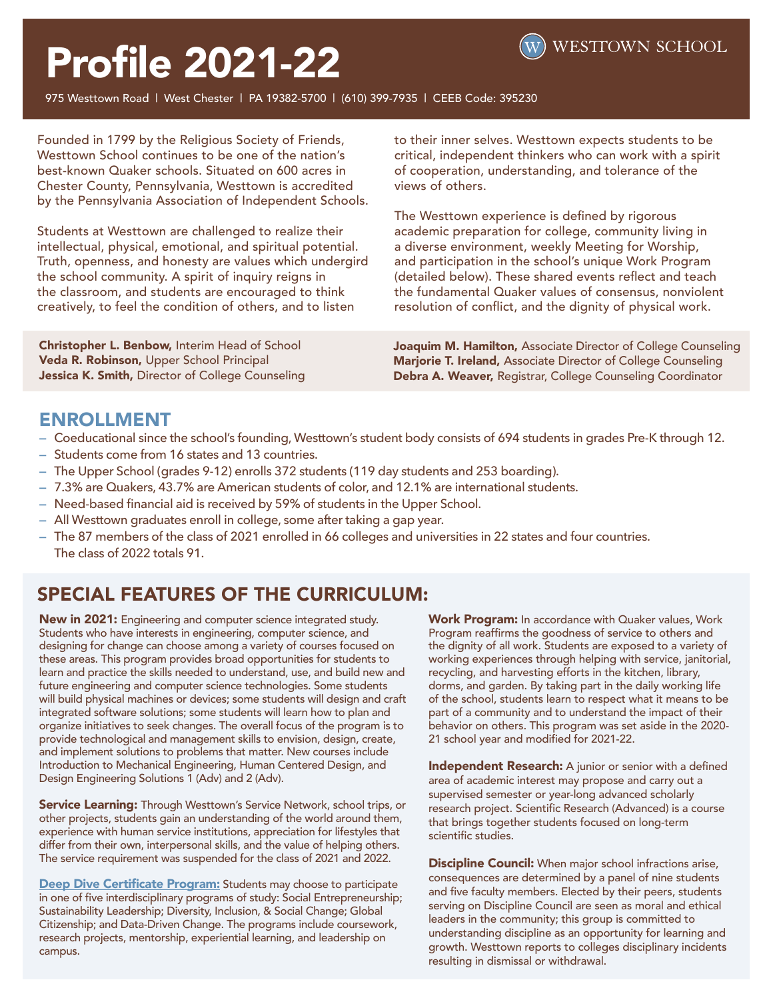

# Profile 2021-22

975 Westtown Road | West Chester | PA 19382-5700 | (610) 399-7935 | CEEB Code: 395230

Founded in 1799 by the Religious Society of Friends, Westtown School continues to be one of the nation's best-known Quaker schools. Situated on 600 acres in Chester County, Pennsylvania, Westtown is accredited by the Pennsylvania Association of Independent Schools.

Students at Westtown are challenged to realize their intellectual, physical, emotional, and spiritual potential. Truth, openness, and honesty are values which undergird the school community. A spirit of inquiry reigns in the classroom, and students are encouraged to think creatively, to feel the condition of others, and to listen

to their inner selves. Westtown expects students to be critical, independent thinkers who can work with a spirit of cooperation, understanding, and tolerance of the views of others.

The Westtown experience is defined by rigorous academic preparation for college, community living in a diverse environment, weekly Meeting for Worship, and participation in the school's unique Work Program (detailed below). These shared events reflect and teach the fundamental Quaker values of consensus, nonviolent resolution of conflict, and the dignity of physical work.

Christopher L. Benbow, Interim Head of School Veda R. Robinson, Upper School Principal Jessica K. Smith, Director of College Counseling Joaquim M. Hamilton, Associate Director of College Counseling Marjorie T. Ireland, Associate Director of College Counseling Debra A. Weaver, Registrar, College Counseling Coordinator

## ENROLLMENT

- **—** Coeducational since the school's founding, Westtown's student body consists of 694 students in grades Pre-K through 12.
- **—** Students come from 16 states and 13 countries.
- **—** The Upper School (grades 9-12) enrolls 372 students (119 day students and 253 boarding).
- **—** 7.3% are Quakers, 43.7% are American students of color, and 12.1% are international students.
- **—** Need-based financial aid is received by 59% of students in the Upper School.
- **—** All Westtown graduates enroll in college, some after taking a gap year.
- **—** The 87 members of the class of 2021 enrolled in 66 colleges and universities in 22 states and four countries. The class of 2022 totals 91.

## SPECIAL FEATURES OF THE CURRICULUM:

New in 2021: Engineering and computer science integrated study. Students who have interests in engineering, computer science, and designing for change can choose among a variety of courses focused on these areas. This program provides broad opportunities for students to learn and practice the skills needed to understand, use, and build new and future engineering and computer science technologies. Some students will build physical machines or devices; some students will design and craft integrated software solutions; some students will learn how to plan and organize initiatives to seek changes. The overall focus of the program is to provide technological and management skills to envision, design, create, and implement solutions to problems that matter. New courses include Introduction to Mechanical Engineering, Human Centered Design, and Design Engineering Solutions 1 (Adv) and 2 (Adv).

Service Learning: Through Westtown's Service Network, school trips, or other projects, students gain an understanding of the world around them, experience with human service institutions, appreciation for lifestyles that differ from their own, interpersonal skills, and the value of helping others. The service requirement was suspended for the class of 2021 and 2022.

Deep Dive Certificate Program: Students may choose to participate in one of five interdisciplinary programs of study: Social Entrepreneurship; Sustainability Leadership; Diversity, Inclusion, & Social Change; Global Citizenship; and Data-Driven Change. The programs include coursework, research projects, mentorship, experiential learning, and leadership on campus.

Work Program: In accordance with Quaker values, Work Program reaffirms the goodness of service to others and the dignity of all work. Students are exposed to a variety of working experiences through helping with service, janitorial, recycling, and harvesting efforts in the kitchen, library, dorms, and garden. By taking part in the daily working life of the school, students learn to respect what it means to be part of a community and to understand the impact of their behavior on others. This program was set aside in the 2020- 21 school year and modified for 2021-22.

Independent Research: A junior or senior with a defined area of academic interest may propose and carry out a supervised semester or year-long advanced scholarly research project. Scientific Research (Advanced) is a course that brings together students focused on long-term scientific studies.

**Discipline Council:** When major school infractions arise, consequences are determined by a panel of nine students and five faculty members. Elected by their peers, students serving on Discipline Council are seen as moral and ethical leaders in the community; this group is committed to understanding discipline as an opportunity for learning and growth. Westtown reports to colleges disciplinary incidents resulting in dismissal or withdrawal.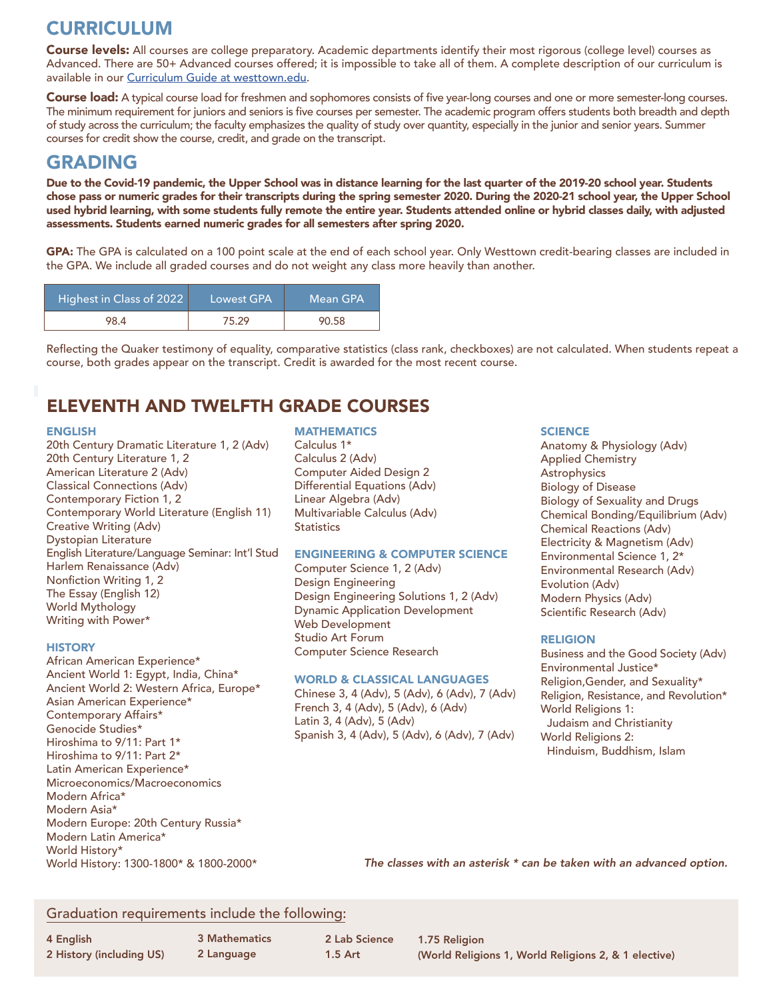# CURRICULUM

Course levels: All courses are college preparatory. Academic departments identify their most rigorous (college level) courses as Advanced. There are 50+ Advanced courses offered; it is impossible to take all of them. A complete description of our curriculum is available in our Curriculum Guide at westtown.edu.

Course load: A typical course load for freshmen and sophomores consists of five year-long courses and one or more semester-long courses. The minimum requirement for juniors and seniors is five courses per semester. The academic program offers students both breadth and depth of study across the curriculum; the faculty emphasizes the quality of study over quantity, especially in the junior and senior years. Summer courses for credit show the course, credit, and grade on the transcript.

## GRADING

Due to the Covid-19 pandemic, the Upper School was in distance learning for the last quarter of the 2019-20 school year. Students chose pass or numeric grades for their transcripts during the spring semester 2020. During the 2020-21 school year, the Upper School used hybrid learning, with some students fully remote the entire year. Students attended online or hybrid classes daily, with adjusted assessments. Students earned numeric grades for all semesters after spring 2020.

GPA: The GPA is calculated on a 100 point scale at the end of each school year. Only Westtown credit-bearing classes are included in the GPA. We include all graded courses and do not weight any class more heavily than another.

| Highest in Class of 2022 | ILowest GPA' | Mean GPA |
|--------------------------|--------------|----------|
| 98.4                     | 75.29        | 90.58    |

Reflecting the Quaker testimony of equality, comparative statistics (class rank, checkboxes) are not calculated. When students repeat a course, both grades appear on the transcript. Credit is awarded for the most recent course.

## ELEVENTH AND TWELFTH GRADE COURSES

#### ENGLISH

20th Century Dramatic Literature 1, 2 (Adv) 20th Century Literature 1, 2 American Literature 2 (Adv) Classical Connections (Adv) Contemporary Fiction 1, 2 Contemporary World Literature (English 11) Creative Writing (Adv) Dystopian Literature English Literature/Language Seminar: Int'l Stud Harlem Renaissance (Adv) Nonfiction Writing 1, 2 The Essay (English 12) World Mythology Writing with Power\*

#### **HISTORY**

African American Experience\* Ancient World 1: Egypt, India, China\* Ancient World 2: Western Africa, Europe\* Asian American Experience\* Contemporary Affairs\* Genocide Studies\* Hiroshima to 9/11: Part 1\* Hiroshima to 9/11: Part 2\* Latin American Experience\* Microeconomics/Macroeconomics Modern Africa\* Modern Asia\* Modern Europe: 20th Century Russia\* Modern Latin America\* World History\* World History: 1300-1800\* & 1800-2000\*

#### **MATHEMATICS**

Calculus 1\* Calculus 2 (Adv) Computer Aided Design 2 Differential Equations (Adv) Linear Algebra (Adv) Multivariable Calculus (Adv) **Statistics** 

#### ENGINEERING & COMPUTER SCIENCE

Computer Science 1, 2 (Adv) Design Engineering Design Engineering Solutions 1, 2 (Adv) Dynamic Application Development Web Development Studio Art Forum Computer Science Research

#### WORLD & CLASSICAL LANGUAGES

Chinese 3, 4 (Adv), 5 (Adv), 6 (Adv), 7 (Adv) French 3, 4 (Adv), 5 (Adv), 6 (Adv) Latin 3, 4 (Adv), 5 (Adv) Spanish 3, 4 (Adv), 5 (Adv), 6 (Adv), 7 (Adv)

#### **SCIENCE**

Anatomy & Physiology (Adv) Applied Chemistry Astrophysics Biology of Disease Biology of Sexuality and Drugs Chemical Bonding/Equilibrium (Adv) Chemical Reactions (Adv) Electricity & Magnetism (Adv) Environmental Science 1, 2\* Environmental Research (Adv) Evolution (Adv) Modern Physics (Adv) Scientific Research (Adv)

#### RELIGION

Business and the Good Society (Adv) Environmental Justice\* Religion,Gender, and Sexuality\* Religion, Resistance, and Revolution\* World Religions 1: Judaism and Christianity World Religions 2: Hinduism, Buddhism, Islam

*The classes with an asterisk \* can be taken with an advanced option.*

### Graduation requirements include the following:

4 English 2 History (including US) 3 Mathematics 2 Language

2 Lab Science 1.5 Art

\* An asterisk indicates the course is offered 1.75 Religion (World Religions 1, World Religions 2, & 1 elective)